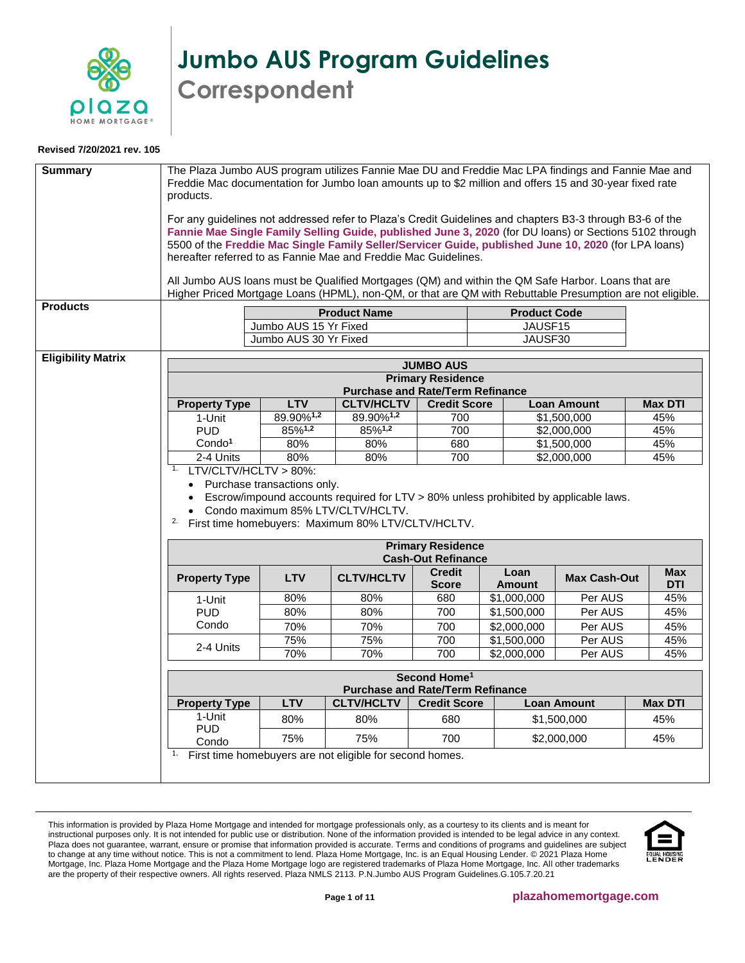

**Jumbo AUS Program Guidelines Correspondent**

## **Revised 7/20/2021 rev. 105**

<span id="page-0-0"></span>

| <b>Summary</b><br><b>Products</b> | The Plaza Jumbo AUS program utilizes Fannie Mae DU and Freddie Mac LPA findings and Fannie Mae and<br>Freddie Mac documentation for Jumbo loan amounts up to \$2 million and offers 15 and 30-year fixed rate<br>products.<br>For any guidelines not addressed refer to Plaza's Credit Guidelines and chapters B3-3 through B3-6 of the<br>Fannie Mae Single Family Selling Guide, published June 3, 2020 (for DU loans) or Sections 5102 through<br>5500 of the Freddie Mac Single Family Seller/Servicer Guide, published June 10, 2020 (for LPA loans)<br>hereafter referred to as Fannie Mae and Freddie Mac Guidelines.<br>All Jumbo AUS loans must be Qualified Mortgages (QM) and within the QM Safe Harbor. Loans that are<br>Higher Priced Mortgage Loans (HPML), non-QM, or that are QM with Rebuttable Presumption are not eligible. |                                                | <b>Product Name</b>                                                                                                                                                             |                                                       | <b>Product Code</b>   |                            |                          |
|-----------------------------------|-------------------------------------------------------------------------------------------------------------------------------------------------------------------------------------------------------------------------------------------------------------------------------------------------------------------------------------------------------------------------------------------------------------------------------------------------------------------------------------------------------------------------------------------------------------------------------------------------------------------------------------------------------------------------------------------------------------------------------------------------------------------------------------------------------------------------------------------------|------------------------------------------------|---------------------------------------------------------------------------------------------------------------------------------------------------------------------------------|-------------------------------------------------------|-----------------------|----------------------------|--------------------------|
|                                   |                                                                                                                                                                                                                                                                                                                                                                                                                                                                                                                                                                                                                                                                                                                                                                                                                                                 | Jumbo AUS 15 Yr Fixed<br>Jumbo AUS 30 Yr Fixed |                                                                                                                                                                                 |                                                       | JAUSF15<br>JAUSF30    |                            |                          |
| <b>Eligibility Matrix</b>         |                                                                                                                                                                                                                                                                                                                                                                                                                                                                                                                                                                                                                                                                                                                                                                                                                                                 | <b>LTV</b>                                     | <b>Purchase and Rate/Term Refinance</b>                                                                                                                                         | <b>JUMBO AUS</b><br><b>Primary Residence</b>          |                       |                            |                          |
|                                   | <b>Property Type</b>                                                                                                                                                                                                                                                                                                                                                                                                                                                                                                                                                                                                                                                                                                                                                                                                                            |                                                | <b>CLTV/HCLTV</b><br>89.90%1,2                                                                                                                                                  | <b>Credit Score</b>                                   |                       | <b>Loan Amount</b>         | <b>Max DTI</b>           |
|                                   | 1-Unit                                                                                                                                                                                                                                                                                                                                                                                                                                                                                                                                                                                                                                                                                                                                                                                                                                          | 89.90%1,2                                      |                                                                                                                                                                                 | 700                                                   |                       | \$1,500,000                | 45%                      |
|                                   | <b>PUD</b>                                                                                                                                                                                                                                                                                                                                                                                                                                                                                                                                                                                                                                                                                                                                                                                                                                      | 85%1,2                                         | 85%1,2                                                                                                                                                                          | 700                                                   |                       | \$2,000,000                | 45%                      |
|                                   | Condo <sup>1</sup><br>$2-4$ Units                                                                                                                                                                                                                                                                                                                                                                                                                                                                                                                                                                                                                                                                                                                                                                                                               | 80%<br>80%                                     | 80%<br>80%                                                                                                                                                                      | 680<br>700                                            |                       | \$1,500,000<br>\$2,000,000 | 45%<br>45%               |
|                                   | LTV/CLTV/HCLTV > 80%:<br>1.<br>• Purchase transactions only.<br>2.                                                                                                                                                                                                                                                                                                                                                                                                                                                                                                                                                                                                                                                                                                                                                                              |                                                | Escrow/impound accounts required for LTV > 80% unless prohibited by applicable laws.<br>Condo maximum 85% LTV/CLTV/HCLTV.<br>First time homebuyers: Maximum 80% LTV/CLTV/HCLTV. |                                                       |                       |                            |                          |
|                                   |                                                                                                                                                                                                                                                                                                                                                                                                                                                                                                                                                                                                                                                                                                                                                                                                                                                 |                                                |                                                                                                                                                                                 | <b>Primary Residence</b><br><b>Cash-Out Refinance</b> |                       |                            |                          |
|                                   | <b>Property Type</b>                                                                                                                                                                                                                                                                                                                                                                                                                                                                                                                                                                                                                                                                                                                                                                                                                            | <b>LTV</b>                                     | <b>CLTV/HCLTV</b>                                                                                                                                                               | <b>Credit</b><br><b>Score</b>                         | Loan<br><b>Amount</b> | <b>Max Cash-Out</b>        | <b>Max</b><br><b>DTI</b> |
|                                   | 1-Unit                                                                                                                                                                                                                                                                                                                                                                                                                                                                                                                                                                                                                                                                                                                                                                                                                                          | 80%                                            | 80%                                                                                                                                                                             | 680                                                   | \$1,000,000           | Per AUS                    | 45%                      |
|                                   | <b>PUD</b>                                                                                                                                                                                                                                                                                                                                                                                                                                                                                                                                                                                                                                                                                                                                                                                                                                      | 80%                                            | 80%                                                                                                                                                                             | 700                                                   | \$1,500,000           | Per AUS                    | 45%                      |
|                                   | Condo                                                                                                                                                                                                                                                                                                                                                                                                                                                                                                                                                                                                                                                                                                                                                                                                                                           | 70%                                            | 70%                                                                                                                                                                             | 700                                                   | \$2,000,000           | Per AUS                    | 45%                      |
|                                   | 2-4 Units                                                                                                                                                                                                                                                                                                                                                                                                                                                                                                                                                                                                                                                                                                                                                                                                                                       | 75%                                            | 75%                                                                                                                                                                             | 700                                                   | \$1,500,000           | Per AUS                    | 45%                      |
|                                   |                                                                                                                                                                                                                                                                                                                                                                                                                                                                                                                                                                                                                                                                                                                                                                                                                                                 | 70%                                            | 70%                                                                                                                                                                             | 700                                                   | \$2,000,000           | Per AUS                    | 45%                      |
|                                   |                                                                                                                                                                                                                                                                                                                                                                                                                                                                                                                                                                                                                                                                                                                                                                                                                                                 |                                                | <b>Purchase and Rate/Term Refinance</b>                                                                                                                                         | Second Home <sup>1</sup>                              |                       |                            |                          |
|                                   | <b>Property Type</b>                                                                                                                                                                                                                                                                                                                                                                                                                                                                                                                                                                                                                                                                                                                                                                                                                            | <b>LTV</b>                                     | <b>CLTV/HCLTV</b>                                                                                                                                                               | <b>Credit Score</b>                                   |                       | <b>Loan Amount</b>         | <b>Max DTI</b>           |
|                                   | 1-Unit<br><b>PUD</b>                                                                                                                                                                                                                                                                                                                                                                                                                                                                                                                                                                                                                                                                                                                                                                                                                            | 80%                                            | 80%                                                                                                                                                                             | 680                                                   |                       | \$1,500,000                | 45%                      |
|                                   | Condo                                                                                                                                                                                                                                                                                                                                                                                                                                                                                                                                                                                                                                                                                                                                                                                                                                           | 75%                                            | 75%                                                                                                                                                                             | 700                                                   |                       | \$2,000,000                | 45%                      |
|                                   | 1.                                                                                                                                                                                                                                                                                                                                                                                                                                                                                                                                                                                                                                                                                                                                                                                                                                              |                                                | First time homebuyers are not eligible for second homes.                                                                                                                        |                                                       |                       |                            |                          |

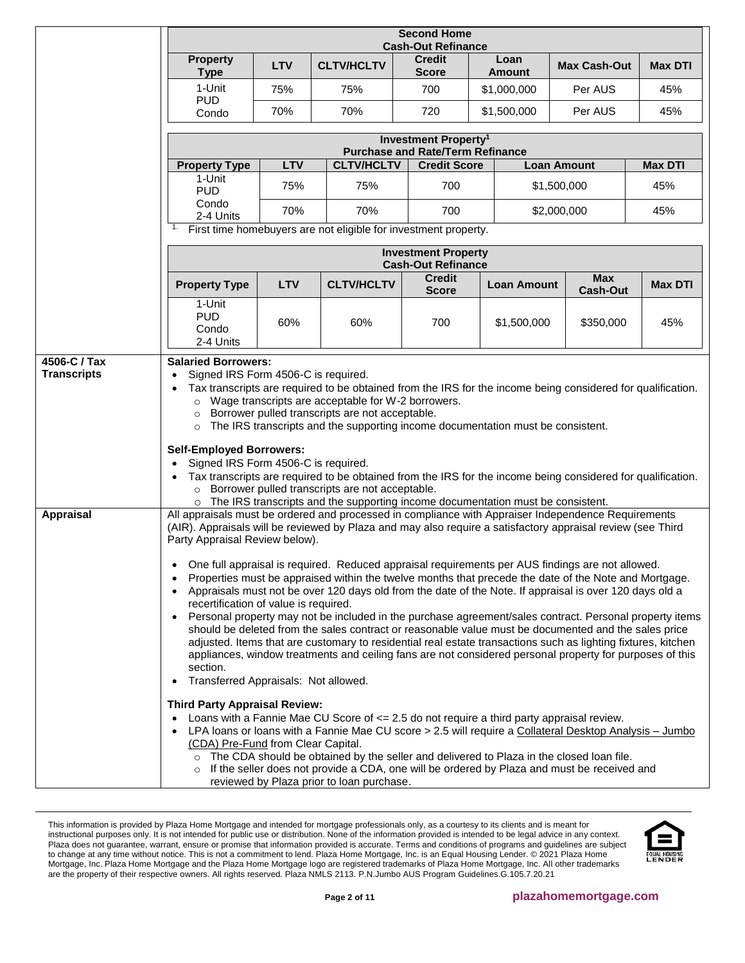|                    |                                                                                                                                                                                                                                                                                                                                                                                                                                                                                                                                                                                                                                                                                                                                                                                                                                                                                                                                                                                                                                                                                                                                                                                                                                                                                                                                                                                                                                                                                                                                                                                                                                                                                | <b>Second Home</b><br><b>Cash-Out Refinance</b> |                                                                 |                                                                |                       |                               |                |
|--------------------|--------------------------------------------------------------------------------------------------------------------------------------------------------------------------------------------------------------------------------------------------------------------------------------------------------------------------------------------------------------------------------------------------------------------------------------------------------------------------------------------------------------------------------------------------------------------------------------------------------------------------------------------------------------------------------------------------------------------------------------------------------------------------------------------------------------------------------------------------------------------------------------------------------------------------------------------------------------------------------------------------------------------------------------------------------------------------------------------------------------------------------------------------------------------------------------------------------------------------------------------------------------------------------------------------------------------------------------------------------------------------------------------------------------------------------------------------------------------------------------------------------------------------------------------------------------------------------------------------------------------------------------------------------------------------------|-------------------------------------------------|-----------------------------------------------------------------|----------------------------------------------------------------|-----------------------|-------------------------------|----------------|
|                    | <b>Property</b><br><b>Type</b>                                                                                                                                                                                                                                                                                                                                                                                                                                                                                                                                                                                                                                                                                                                                                                                                                                                                                                                                                                                                                                                                                                                                                                                                                                                                                                                                                                                                                                                                                                                                                                                                                                                 | <b>LTV</b>                                      | <b>CLTV/HCLTV</b>                                               | <b>Credit</b><br><b>Score</b>                                  | Loan<br><b>Amount</b> | <b>Max Cash-Out</b>           | <b>Max DTI</b> |
|                    | 1-Unit<br><b>PUD</b>                                                                                                                                                                                                                                                                                                                                                                                                                                                                                                                                                                                                                                                                                                                                                                                                                                                                                                                                                                                                                                                                                                                                                                                                                                                                                                                                                                                                                                                                                                                                                                                                                                                           | 75%                                             | 75%                                                             | 700                                                            | \$1,000,000           | Per AUS                       | 45%            |
|                    | Condo                                                                                                                                                                                                                                                                                                                                                                                                                                                                                                                                                                                                                                                                                                                                                                                                                                                                                                                                                                                                                                                                                                                                                                                                                                                                                                                                                                                                                                                                                                                                                                                                                                                                          | 70%                                             | 70%                                                             | 720                                                            | \$1,500,000           | Per AUS                       | 45%            |
|                    |                                                                                                                                                                                                                                                                                                                                                                                                                                                                                                                                                                                                                                                                                                                                                                                                                                                                                                                                                                                                                                                                                                                                                                                                                                                                                                                                                                                                                                                                                                                                                                                                                                                                                |                                                 |                                                                 | <b>Investment Property<sup>1</sup></b>                         |                       |                               |                |
|                    | <b>Property Type</b>                                                                                                                                                                                                                                                                                                                                                                                                                                                                                                                                                                                                                                                                                                                                                                                                                                                                                                                                                                                                                                                                                                                                                                                                                                                                                                                                                                                                                                                                                                                                                                                                                                                           | LTV                                             | <b>CLTV/HCLTV</b>                                               | <b>Purchase and Rate/Term Refinance</b><br><b>Credit Score</b> |                       | <b>Loan Amount</b>            | <b>Max DTI</b> |
|                    | 1-Unit<br><b>PUD</b>                                                                                                                                                                                                                                                                                                                                                                                                                                                                                                                                                                                                                                                                                                                                                                                                                                                                                                                                                                                                                                                                                                                                                                                                                                                                                                                                                                                                                                                                                                                                                                                                                                                           | 75%                                             | 75%                                                             | 700                                                            |                       | \$1,500,000                   | 45%            |
|                    | Condo<br>2-4 Units                                                                                                                                                                                                                                                                                                                                                                                                                                                                                                                                                                                                                                                                                                                                                                                                                                                                                                                                                                                                                                                                                                                                                                                                                                                                                                                                                                                                                                                                                                                                                                                                                                                             | 70%                                             | 70%                                                             | 700                                                            |                       | \$2,000,000                   | 45%            |
|                    | 1.                                                                                                                                                                                                                                                                                                                                                                                                                                                                                                                                                                                                                                                                                                                                                                                                                                                                                                                                                                                                                                                                                                                                                                                                                                                                                                                                                                                                                                                                                                                                                                                                                                                                             |                                                 | First time homebuyers are not eligible for investment property. |                                                                |                       |                               |                |
|                    |                                                                                                                                                                                                                                                                                                                                                                                                                                                                                                                                                                                                                                                                                                                                                                                                                                                                                                                                                                                                                                                                                                                                                                                                                                                                                                                                                                                                                                                                                                                                                                                                                                                                                |                                                 |                                                                 | <b>Investment Property</b><br><b>Cash-Out Refinance</b>        |                       |                               |                |
|                    | <b>Property Type</b>                                                                                                                                                                                                                                                                                                                                                                                                                                                                                                                                                                                                                                                                                                                                                                                                                                                                                                                                                                                                                                                                                                                                                                                                                                                                                                                                                                                                                                                                                                                                                                                                                                                           | <b>LTV</b>                                      | <b>CLTV/HCLTV</b>                                               | <b>Credit</b><br><b>Score</b>                                  | <b>Loan Amount</b>    | <b>Max</b><br><b>Cash-Out</b> | <b>Max DTI</b> |
|                    | 1-Unit<br><b>PUD</b><br>Condo<br>2-4 Units                                                                                                                                                                                                                                                                                                                                                                                                                                                                                                                                                                                                                                                                                                                                                                                                                                                                                                                                                                                                                                                                                                                                                                                                                                                                                                                                                                                                                                                                                                                                                                                                                                     | 60%                                             | 60%                                                             | 700                                                            | \$1,500,000           | \$350,000                     | 45%            |
| <b>Transcripts</b> | Signed IRS Form 4506-C is required.<br>Tax transcripts are required to be obtained from the IRS for the income being considered for qualification.<br>Wage transcripts are acceptable for W-2 borrowers.<br>$\circ$<br>Borrower pulled transcripts are not acceptable.<br>$\circ$<br>The IRS transcripts and the supporting income documentation must be consistent.<br>$\circ$<br><b>Self-Employed Borrowers:</b><br>Signed IRS Form 4506-C is required.<br>Tax transcripts are required to be obtained from the IRS for the income being considered for qualification.<br>Borrower pulled transcripts are not acceptable.<br>$\circ$<br>The IRS transcripts and the supporting income documentation must be consistent.                                                                                                                                                                                                                                                                                                                                                                                                                                                                                                                                                                                                                                                                                                                                                                                                                                                                                                                                                      |                                                 |                                                                 |                                                                |                       |                               |                |
| <b>Appraisal</b>   | All appraisals must be ordered and processed in compliance with Appraiser Independence Requirements<br>(AIR). Appraisals will be reviewed by Plaza and may also require a satisfactory appraisal review (see Third<br>Party Appraisal Review below).<br>• One full appraisal is required. Reduced appraisal requirements per AUS findings are not allowed.<br>Properties must be appraised within the twelve months that precede the date of the Note and Mortgage.<br>Appraisals must not be over 120 days old from the date of the Note. If appraisal is over 120 days old a<br>recertification of value is required.<br>Personal property may not be included in the purchase agreement/sales contract. Personal property items<br>should be deleted from the sales contract or reasonable value must be documented and the sales price<br>adjusted. Items that are customary to residential real estate transactions such as lighting fixtures, kitchen<br>appliances, window treatments and ceiling fans are not considered personal property for purposes of this<br>section.<br>Transferred Appraisals: Not allowed.<br><b>Third Party Appraisal Review:</b><br>Loans with a Fannie Mae CU Score of <= 2.5 do not require a third party appraisal review.<br>LPA loans or loans with a Fannie Mae CU score > 2.5 will require a Collateral Desktop Analysis - Jumbo<br>(CDA) Pre-Fund from Clear Capital.<br>The CDA should be obtained by the seller and delivered to Plaza in the closed loan file.<br>$\circ$<br>If the seller does not provide a CDA, one will be ordered by Plaza and must be received and<br>$\circ$<br>reviewed by Plaza prior to loan purchase. |                                                 |                                                                 |                                                                |                       |                               |                |

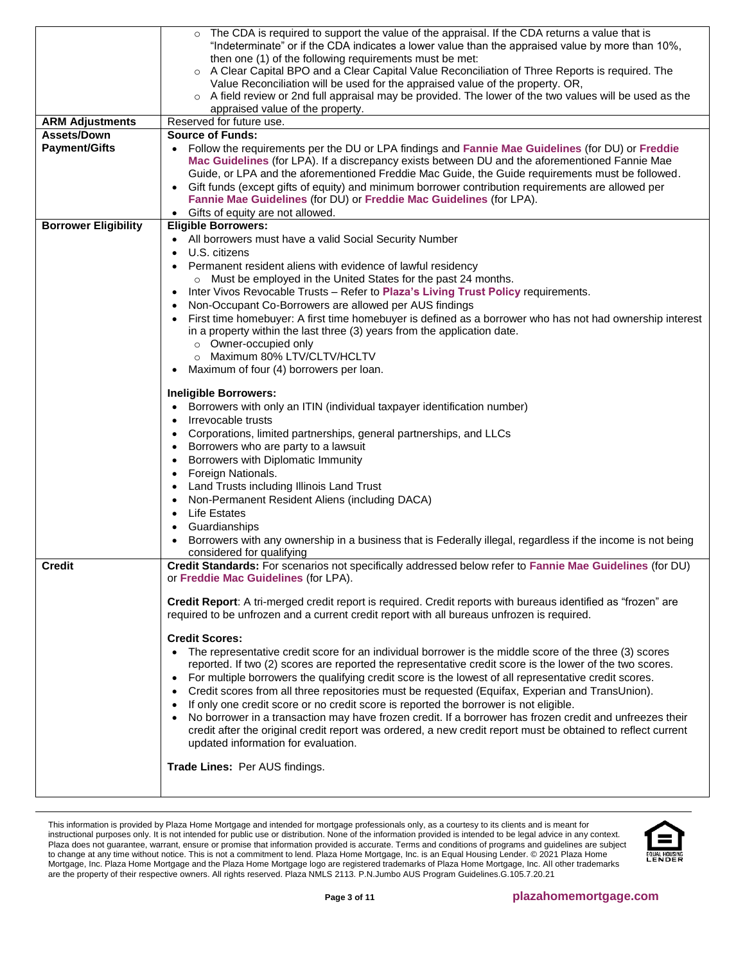|                                     | The CDA is required to support the value of the appraisal. If the CDA returns a value that is<br>$\circ$<br>"Indeterminate" or if the CDA indicates a lower value than the appraised value by more than 10%,<br>then one (1) of the following requirements must be met:<br>○ A Clear Capital BPO and a Clear Capital Value Reconciliation of Three Reports is required. The<br>Value Reconciliation will be used for the appraised value of the property. OR,<br>○ A field review or 2nd full appraisal may be provided. The lower of the two values will be used as the                                                                                                                                                                                                                                                                                                                                                                                                                                                                                                                                                                                                                                                                                                                  |
|-------------------------------------|-------------------------------------------------------------------------------------------------------------------------------------------------------------------------------------------------------------------------------------------------------------------------------------------------------------------------------------------------------------------------------------------------------------------------------------------------------------------------------------------------------------------------------------------------------------------------------------------------------------------------------------------------------------------------------------------------------------------------------------------------------------------------------------------------------------------------------------------------------------------------------------------------------------------------------------------------------------------------------------------------------------------------------------------------------------------------------------------------------------------------------------------------------------------------------------------------------------------------------------------------------------------------------------------|
|                                     | appraised value of the property.                                                                                                                                                                                                                                                                                                                                                                                                                                                                                                                                                                                                                                                                                                                                                                                                                                                                                                                                                                                                                                                                                                                                                                                                                                                          |
| <b>ARM Adjustments</b>              | Reserved for future use.                                                                                                                                                                                                                                                                                                                                                                                                                                                                                                                                                                                                                                                                                                                                                                                                                                                                                                                                                                                                                                                                                                                                                                                                                                                                  |
|                                     |                                                                                                                                                                                                                                                                                                                                                                                                                                                                                                                                                                                                                                                                                                                                                                                                                                                                                                                                                                                                                                                                                                                                                                                                                                                                                           |
| Assets/Down<br><b>Payment/Gifts</b> | <b>Source of Funds:</b><br>• Follow the requirements per the DU or LPA findings and Fannie Mae Guidelines (for DU) or Freddie<br>Mac Guidelines (for LPA). If a discrepancy exists between DU and the aforementioned Fannie Mae<br>Guide, or LPA and the aforementioned Freddie Mac Guide, the Guide requirements must be followed.<br>Gift funds (except gifts of equity) and minimum borrower contribution requirements are allowed per<br>$\bullet$<br>Fannie Mae Guidelines (for DU) or Freddie Mac Guidelines (for LPA).<br>Gifts of equity are not allowed.<br>$\bullet$                                                                                                                                                                                                                                                                                                                                                                                                                                                                                                                                                                                                                                                                                                            |
| <b>Borrower Eligibility</b>         | <b>Eligible Borrowers:</b>                                                                                                                                                                                                                                                                                                                                                                                                                                                                                                                                                                                                                                                                                                                                                                                                                                                                                                                                                                                                                                                                                                                                                                                                                                                                |
|                                     | • All borrowers must have a valid Social Security Number<br>U.S. citizens<br>$\bullet$<br>Permanent resident aliens with evidence of lawful residency<br>$\bullet$<br>o Must be employed in the United States for the past 24 months.<br>Inter Vivos Revocable Trusts - Refer to Plaza's Living Trust Policy requirements.<br>٠<br>Non-Occupant Co-Borrowers are allowed per AUS findings<br>First time homebuyer: A first time homebuyer is defined as a borrower who has not had ownership interest<br>in a property within the last three (3) years from the application date.<br>o Owner-occupied only<br>o Maximum 80% LTV/CLTV/HCLTV<br>Maximum of four (4) borrowers per loan.<br>$\bullet$                                                                                                                                                                                                                                                                                                                                                                                                                                                                                                                                                                                        |
|                                     | <b>Ineligible Borrowers:</b><br>Borrowers with only an ITIN (individual taxpayer identification number)<br>Irrevocable trusts<br>$\bullet$<br>Corporations, limited partnerships, general partnerships, and LLCs<br>$\bullet$<br>Borrowers who are party to a lawsuit<br>٠<br>Borrowers with Diplomatic Immunity<br>$\bullet$<br>Foreign Nationals.<br>$\bullet$<br>Land Trusts including Illinois Land Trust<br>$\bullet$<br>Non-Permanent Resident Aliens (including DACA)<br>$\bullet$<br><b>Life Estates</b><br>$\bullet$<br>Guardianships<br>$\bullet$<br>Borrowers with any ownership in a business that is Federally illegal, regardless if the income is not being<br>considered for qualifying                                                                                                                                                                                                                                                                                                                                                                                                                                                                                                                                                                                   |
| <b>Credit</b>                       | Credit Standards: For scenarios not specifically addressed below refer to Fannie Mae Guidelines (for DU)<br>or Freddie Mac Guidelines (for LPA).<br>Credit Report: A tri-merged credit report is required. Credit reports with bureaus identified as "frozen" are<br>required to be unfrozen and a current credit report with all bureaus unfrozen is required.<br><b>Credit Scores:</b><br>The representative credit score for an individual borrower is the middle score of the three (3) scores<br>$\bullet$<br>reported. If two (2) scores are reported the representative credit score is the lower of the two scores.<br>For multiple borrowers the qualifying credit score is the lowest of all representative credit scores.<br>$\bullet$<br>Credit scores from all three repositories must be requested (Equifax, Experian and TransUnion).<br>$\bullet$<br>If only one credit score or no credit score is reported the borrower is not eligible.<br>$\bullet$<br>No borrower in a transaction may have frozen credit. If a borrower has frozen credit and unfreezes their<br>$\bullet$<br>credit after the original credit report was ordered, a new credit report must be obtained to reflect current<br>updated information for evaluation.<br>Trade Lines: Per AUS findings. |
|                                     |                                                                                                                                                                                                                                                                                                                                                                                                                                                                                                                                                                                                                                                                                                                                                                                                                                                                                                                                                                                                                                                                                                                                                                                                                                                                                           |

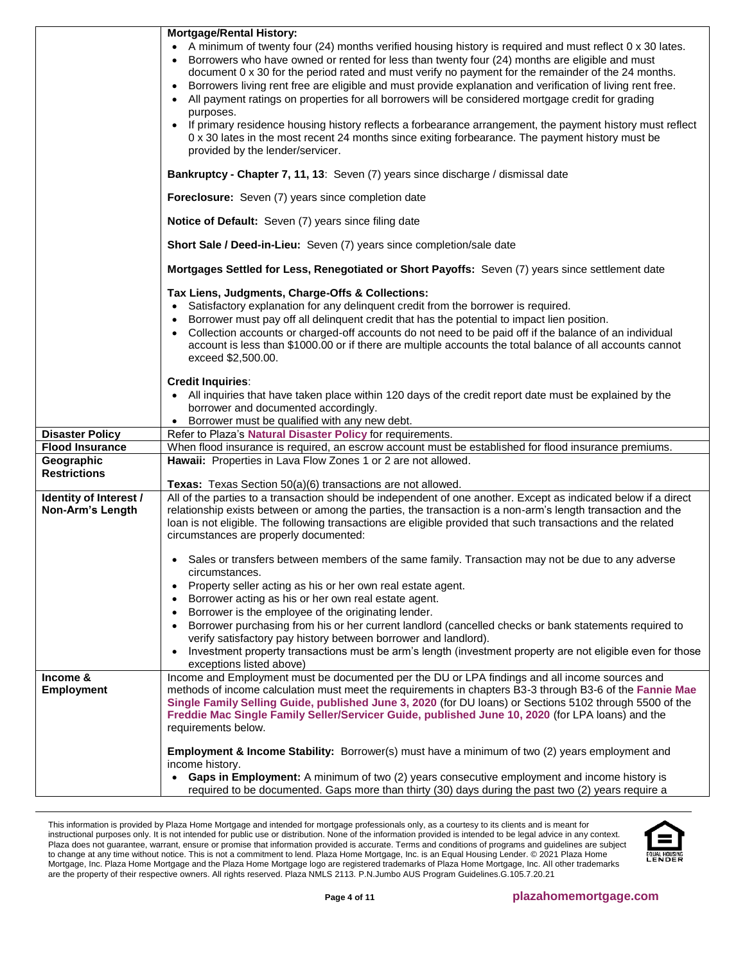|                               | <b>Mortgage/Rental History:</b><br>A minimum of twenty four (24) months verified housing history is required and must reflect 0 x 30 lates.                                                                                                                                                                                                                                                                                                                                                                              |
|-------------------------------|--------------------------------------------------------------------------------------------------------------------------------------------------------------------------------------------------------------------------------------------------------------------------------------------------------------------------------------------------------------------------------------------------------------------------------------------------------------------------------------------------------------------------|
|                               | Borrowers who have owned or rented for less than twenty four (24) months are eligible and must<br>document 0 x 30 for the period rated and must verify no payment for the remainder of the 24 months.<br>Borrowers living rent free are eligible and must provide explanation and verification of living rent free.<br>$\bullet$<br>All payment ratings on properties for all borrowers will be considered mortgage credit for grading<br>$\bullet$                                                                      |
|                               | purposes.<br>If primary residence housing history reflects a forbearance arrangement, the payment history must reflect<br>0 x 30 lates in the most recent 24 months since exiting forbearance. The payment history must be<br>provided by the lender/servicer.                                                                                                                                                                                                                                                           |
|                               | Bankruptcy - Chapter 7, 11, 13: Seven (7) years since discharge / dismissal date                                                                                                                                                                                                                                                                                                                                                                                                                                         |
|                               | Foreclosure: Seven (7) years since completion date                                                                                                                                                                                                                                                                                                                                                                                                                                                                       |
|                               | Notice of Default: Seven (7) years since filing date                                                                                                                                                                                                                                                                                                                                                                                                                                                                     |
|                               | Short Sale / Deed-in-Lieu: Seven (7) years since completion/sale date                                                                                                                                                                                                                                                                                                                                                                                                                                                    |
|                               | Mortgages Settled for Less, Renegotiated or Short Payoffs: Seven (7) years since settlement date                                                                                                                                                                                                                                                                                                                                                                                                                         |
|                               | Tax Liens, Judgments, Charge-Offs & Collections:<br>Satisfactory explanation for any delinquent credit from the borrower is required.<br>$\bullet$<br>Borrower must pay off all delinquent credit that has the potential to impact lien position.<br>$\bullet$<br>Collection accounts or charged-off accounts do not need to be paid off if the balance of an individual<br>$\bullet$<br>account is less than \$1000.00 or if there are multiple accounts the total balance of all accounts cannot<br>exceed \$2,500.00. |
|                               | <b>Credit Inquiries:</b><br>• All inquiries that have taken place within 120 days of the credit report date must be explained by the<br>borrower and documented accordingly.<br>Borrower must be qualified with any new debt.                                                                                                                                                                                                                                                                                            |
| <b>Disaster Policy</b>        | Refer to Plaza's Natural Disaster Policy for requirements.                                                                                                                                                                                                                                                                                                                                                                                                                                                               |
| <b>Flood Insurance</b>        | When flood insurance is required, an escrow account must be established for flood insurance premiums.                                                                                                                                                                                                                                                                                                                                                                                                                    |
| Geographic                    | Hawaii: Properties in Lava Flow Zones 1 or 2 are not allowed.                                                                                                                                                                                                                                                                                                                                                                                                                                                            |
| <b>Restrictions</b>           |                                                                                                                                                                                                                                                                                                                                                                                                                                                                                                                          |
| Identity of Interest /        | Texas: Texas Section 50(a)(6) transactions are not allowed.<br>All of the parties to a transaction should be independent of one another. Except as indicated below if a direct                                                                                                                                                                                                                                                                                                                                           |
| Non-Arm's Length              | relationship exists between or among the parties, the transaction is a non-arm's length transaction and the<br>loan is not eligible. The following transactions are eligible provided that such transactions and the related<br>circumstances are properly documented:                                                                                                                                                                                                                                                   |
|                               | • Sales or transfers between members of the same family. Transaction may not be due to any adverse<br>circumstances.                                                                                                                                                                                                                                                                                                                                                                                                     |
|                               | Property seller acting as his or her own real estate agent.<br>$\bullet$                                                                                                                                                                                                                                                                                                                                                                                                                                                 |
|                               | Borrower acting as his or her own real estate agent.<br>$\bullet$                                                                                                                                                                                                                                                                                                                                                                                                                                                        |
|                               | Borrower is the employee of the originating lender.<br>$\bullet$                                                                                                                                                                                                                                                                                                                                                                                                                                                         |
|                               | Borrower purchasing from his or her current landlord (cancelled checks or bank statements required to<br>$\bullet$<br>verify satisfactory pay history between borrower and landlord).                                                                                                                                                                                                                                                                                                                                    |
|                               | Investment property transactions must be arm's length (investment property are not eligible even for those<br>$\bullet$<br>exceptions listed above)                                                                                                                                                                                                                                                                                                                                                                      |
| Income &<br><b>Employment</b> | Income and Employment must be documented per the DU or LPA findings and all income sources and<br>methods of income calculation must meet the requirements in chapters B3-3 through B3-6 of the Fannie Mae<br>Single Family Selling Guide, published June 3, 2020 (for DU loans) or Sections 5102 through 5500 of the<br>Freddie Mac Single Family Seller/Servicer Guide, published June 10, 2020 (for LPA loans) and the<br>requirements below.                                                                         |
|                               | Employment & Income Stability: Borrower(s) must have a minimum of two (2) years employment and<br>income history.                                                                                                                                                                                                                                                                                                                                                                                                        |
|                               | Gaps in Employment: A minimum of two (2) years consecutive employment and income history is<br>$\bullet$<br>required to be documented. Gaps more than thirty (30) days during the past two (2) years require a                                                                                                                                                                                                                                                                                                           |

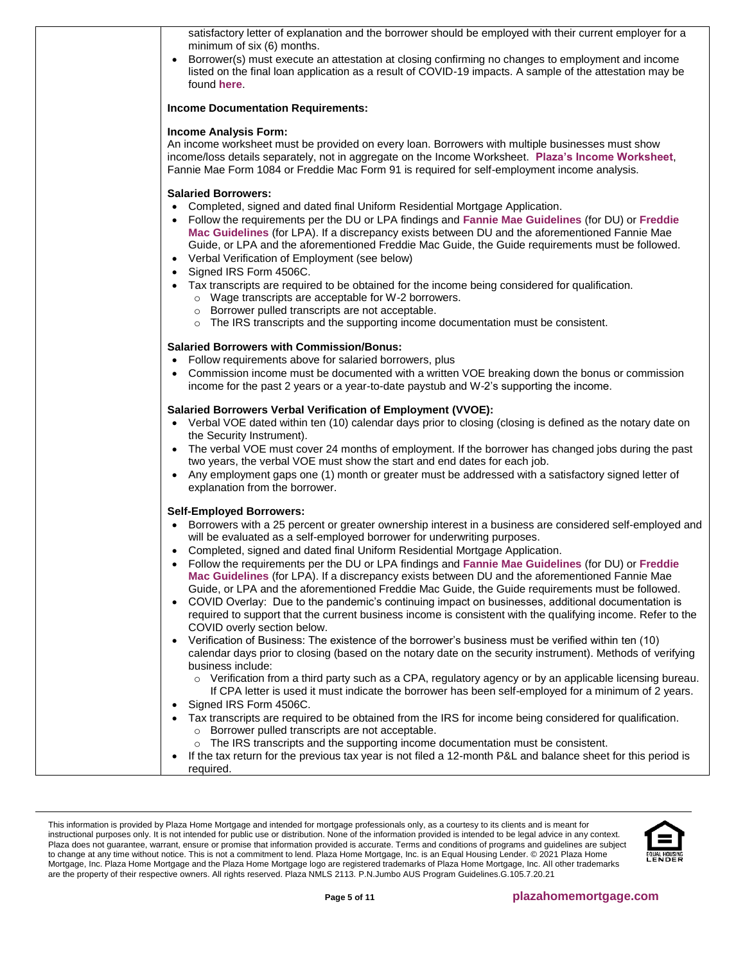| satisfactory letter of explanation and the borrower should be employed with their current employer for a<br>minimum of six (6) months.<br>Borrower(s) must execute an attestation at closing confirming no changes to employment and income<br>listed on the final loan application as a result of COVID-19 impacts. A sample of the attestation may be<br>found here.                                                                                                                                                                                                                                                                                                                                                                                                                                                                                                                                                                                                                                                                                                                                                                                                                                                                                                                                                                                                                                                                                                                                                                                                                                                                                  |
|---------------------------------------------------------------------------------------------------------------------------------------------------------------------------------------------------------------------------------------------------------------------------------------------------------------------------------------------------------------------------------------------------------------------------------------------------------------------------------------------------------------------------------------------------------------------------------------------------------------------------------------------------------------------------------------------------------------------------------------------------------------------------------------------------------------------------------------------------------------------------------------------------------------------------------------------------------------------------------------------------------------------------------------------------------------------------------------------------------------------------------------------------------------------------------------------------------------------------------------------------------------------------------------------------------------------------------------------------------------------------------------------------------------------------------------------------------------------------------------------------------------------------------------------------------------------------------------------------------------------------------------------------------|
| <b>Income Documentation Requirements:</b>                                                                                                                                                                                                                                                                                                                                                                                                                                                                                                                                                                                                                                                                                                                                                                                                                                                                                                                                                                                                                                                                                                                                                                                                                                                                                                                                                                                                                                                                                                                                                                                                               |
| <b>Income Analysis Form:</b><br>An income worksheet must be provided on every loan. Borrowers with multiple businesses must show<br>income/loss details separately, not in aggregate on the Income Worksheet. Plaza's Income Worksheet,<br>Fannie Mae Form 1084 or Freddie Mac Form 91 is required for self-employment income analysis.                                                                                                                                                                                                                                                                                                                                                                                                                                                                                                                                                                                                                                                                                                                                                                                                                                                                                                                                                                                                                                                                                                                                                                                                                                                                                                                 |
| <b>Salaried Borrowers:</b><br>Completed, signed and dated final Uniform Residential Mortgage Application.<br>Follow the requirements per the DU or LPA findings and Fannie Mae Guidelines (for DU) or Freddie<br>Mac Guidelines (for LPA). If a discrepancy exists between DU and the aforementioned Fannie Mae<br>Guide, or LPA and the aforementioned Freddie Mac Guide, the Guide requirements must be followed.<br>• Verbal Verification of Employment (see below)<br>Signed IRS Form 4506C.                                                                                                                                                                                                                                                                                                                                                                                                                                                                                                                                                                                                                                                                                                                                                                                                                                                                                                                                                                                                                                                                                                                                                        |
| Tax transcripts are required to be obtained for the income being considered for qualification.<br>o Wage transcripts are acceptable for W-2 borrowers.<br>o Borrower pulled transcripts are not acceptable.<br>o The IRS transcripts and the supporting income documentation must be consistent.                                                                                                                                                                                                                                                                                                                                                                                                                                                                                                                                                                                                                                                                                                                                                                                                                                                                                                                                                                                                                                                                                                                                                                                                                                                                                                                                                        |
| <b>Salaried Borrowers with Commission/Bonus:</b><br>Follow requirements above for salaried borrowers, plus<br>$\bullet$<br>Commission income must be documented with a written VOE breaking down the bonus or commission<br>income for the past 2 years or a year-to-date paystub and W-2's supporting the income.                                                                                                                                                                                                                                                                                                                                                                                                                                                                                                                                                                                                                                                                                                                                                                                                                                                                                                                                                                                                                                                                                                                                                                                                                                                                                                                                      |
| Salaried Borrowers Verbal Verification of Employment (VVOE):<br>• Verbal VOE dated within ten (10) calendar days prior to closing (closing is defined as the notary date on<br>the Security Instrument).<br>• The verbal VOE must cover 24 months of employment. If the borrower has changed jobs during the past<br>two years, the verbal VOE must show the start and end dates for each job.<br>• Any employment gaps one (1) month or greater must be addressed with a satisfactory signed letter of<br>explanation from the borrower.                                                                                                                                                                                                                                                                                                                                                                                                                                                                                                                                                                                                                                                                                                                                                                                                                                                                                                                                                                                                                                                                                                               |
| <b>Self-Employed Borrowers:</b><br>• Borrowers with a 25 percent or greater ownership interest in a business are considered self-employed and<br>will be evaluated as a self-employed borrower for underwriting purposes.<br>Completed, signed and dated final Uniform Residential Mortgage Application.<br>Follow the requirements per the DU or LPA findings and Fannie Mae Guidelines (for DU) or Freddie<br>$\bullet$<br>Mac Guidelines (for LPA). If a discrepancy exists between DU and the aforementioned Fannie Mae<br>Guide, or LPA and the aforementioned Freddie Mac Guide, the Guide requirements must be followed.<br>COVID Overlay: Due to the pandemic's continuing impact on businesses, additional documentation is<br>$\bullet$<br>required to support that the current business income is consistent with the qualifying income. Refer to the<br>COVID overly section below.<br>Verification of Business: The existence of the borrower's business must be verified within ten (10)<br>calendar days prior to closing (based on the notary date on the security instrument). Methods of verifying<br>business include:<br>o Verification from a third party such as a CPA, regulatory agency or by an applicable licensing bureau.<br>If CPA letter is used it must indicate the borrower has been self-employed for a minimum of 2 years.<br>Signed IRS Form 4506C.<br>$\bullet$<br>Tax transcripts are required to be obtained from the IRS for income being considered for qualification.<br>o Borrower pulled transcripts are not acceptable.<br>The IRS transcripts and the supporting income documentation must be consistent. |
| If the tax return for the previous tax year is not filed a 12-month P&L and balance sheet for this period is<br>$\bullet$<br>required.                                                                                                                                                                                                                                                                                                                                                                                                                                                                                                                                                                                                                                                                                                                                                                                                                                                                                                                                                                                                                                                                                                                                                                                                                                                                                                                                                                                                                                                                                                                  |

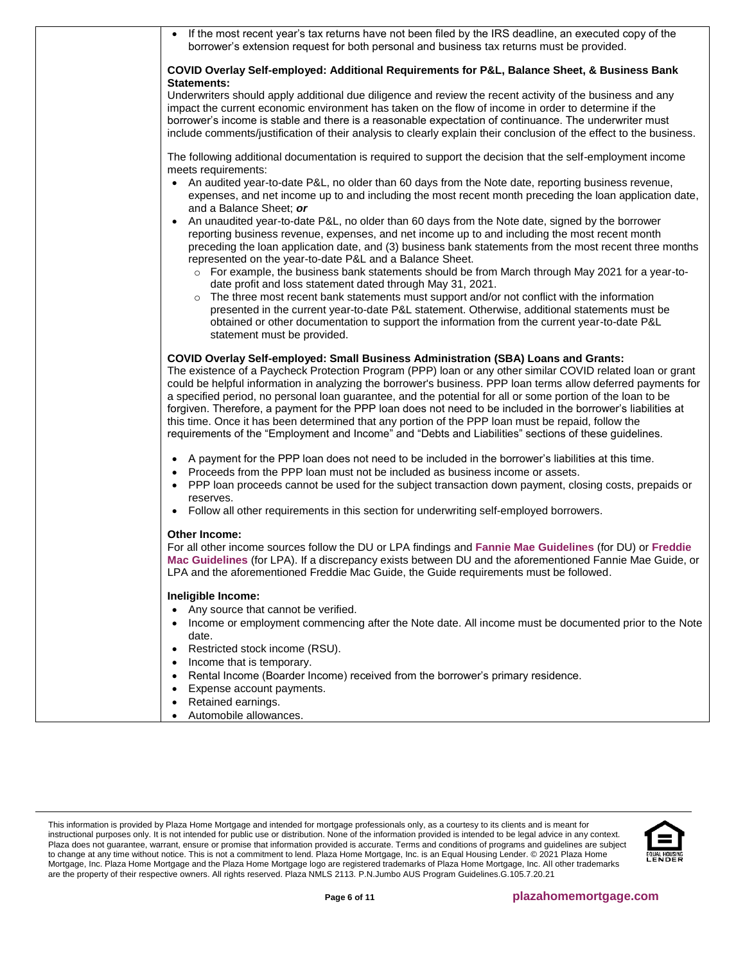| • If the most recent year's tax returns have not been filed by the IRS deadline, an executed copy of the<br>borrower's extension request for both personal and business tax returns must be provided.                                                                                                                                                                                                                                                                                                                                                                                                                                                                                                                                                            |
|------------------------------------------------------------------------------------------------------------------------------------------------------------------------------------------------------------------------------------------------------------------------------------------------------------------------------------------------------------------------------------------------------------------------------------------------------------------------------------------------------------------------------------------------------------------------------------------------------------------------------------------------------------------------------------------------------------------------------------------------------------------|
| COVID Overlay Self-employed: Additional Requirements for P&L, Balance Sheet, & Business Bank<br><b>Statements:</b>                                                                                                                                                                                                                                                                                                                                                                                                                                                                                                                                                                                                                                               |
| Underwriters should apply additional due diligence and review the recent activity of the business and any<br>impact the current economic environment has taken on the flow of income in order to determine if the<br>borrower's income is stable and there is a reasonable expectation of continuance. The underwriter must<br>include comments/justification of their analysis to clearly explain their conclusion of the effect to the business.                                                                                                                                                                                                                                                                                                               |
| The following additional documentation is required to support the decision that the self-employment income<br>meets requirements:<br>• An audited year-to-date P&L, no older than 60 days from the Note date, reporting business revenue,                                                                                                                                                                                                                                                                                                                                                                                                                                                                                                                        |
| expenses, and net income up to and including the most recent month preceding the loan application date,<br>and a Balance Sheet; or                                                                                                                                                                                                                                                                                                                                                                                                                                                                                                                                                                                                                               |
| • An unaudited year-to-date P&L, no older than 60 days from the Note date, signed by the borrower<br>reporting business revenue, expenses, and net income up to and including the most recent month<br>preceding the loan application date, and (3) business bank statements from the most recent three months<br>represented on the year-to-date P&L and a Balance Sheet.                                                                                                                                                                                                                                                                                                                                                                                       |
| o For example, the business bank statements should be from March through May 2021 for a year-to-<br>date profit and loss statement dated through May 31, 2021.                                                                                                                                                                                                                                                                                                                                                                                                                                                                                                                                                                                                   |
| The three most recent bank statements must support and/or not conflict with the information<br>presented in the current year-to-date P&L statement. Otherwise, additional statements must be<br>obtained or other documentation to support the information from the current year-to-date P&L<br>statement must be provided.                                                                                                                                                                                                                                                                                                                                                                                                                                      |
| COVID Overlay Self-employed: Small Business Administration (SBA) Loans and Grants:<br>The existence of a Paycheck Protection Program (PPP) loan or any other similar COVID related loan or grant<br>could be helpful information in analyzing the borrower's business. PPP loan terms allow deferred payments for<br>a specified period, no personal loan guarantee, and the potential for all or some portion of the loan to be<br>forgiven. Therefore, a payment for the PPP loan does not need to be included in the borrower's liabilities at<br>this time. Once it has been determined that any portion of the PPP loan must be repaid, follow the<br>requirements of the "Employment and Income" and "Debts and Liabilities" sections of these guidelines. |
| A payment for the PPP loan does not need to be included in the borrower's liabilities at this time.<br>Proceeds from the PPP loan must not be included as business income or assets.<br>PPP loan proceeds cannot be used for the subject transaction down payment, closing costs, prepaids or<br>reserves.                                                                                                                                                                                                                                                                                                                                                                                                                                                       |
| Follow all other requirements in this section for underwriting self-employed borrowers.                                                                                                                                                                                                                                                                                                                                                                                                                                                                                                                                                                                                                                                                          |
| Other Income:<br>For all other income sources follow the DU or LPA findings and Fannie Mae Guidelines (for DU) or Freddie<br>Mac Guidelines (for LPA). If a discrepancy exists between DU and the aforementioned Fannie Mae Guide, or<br>LPA and the aforementioned Freddie Mac Guide, the Guide requirements must be followed.                                                                                                                                                                                                                                                                                                                                                                                                                                  |
| Ineligible Income:<br>Any source that cannot be verified.                                                                                                                                                                                                                                                                                                                                                                                                                                                                                                                                                                                                                                                                                                        |
| Income or employment commencing after the Note date. All income must be documented prior to the Note<br>date.                                                                                                                                                                                                                                                                                                                                                                                                                                                                                                                                                                                                                                                    |
| • Restricted stock income (RSU).<br>Income that is temporary.                                                                                                                                                                                                                                                                                                                                                                                                                                                                                                                                                                                                                                                                                                    |
| Rental Income (Boarder Income) received from the borrower's primary residence.                                                                                                                                                                                                                                                                                                                                                                                                                                                                                                                                                                                                                                                                                   |
| Expense account payments.<br>Retained earnings.                                                                                                                                                                                                                                                                                                                                                                                                                                                                                                                                                                                                                                                                                                                  |
| Automobile allowances.                                                                                                                                                                                                                                                                                                                                                                                                                                                                                                                                                                                                                                                                                                                                           |

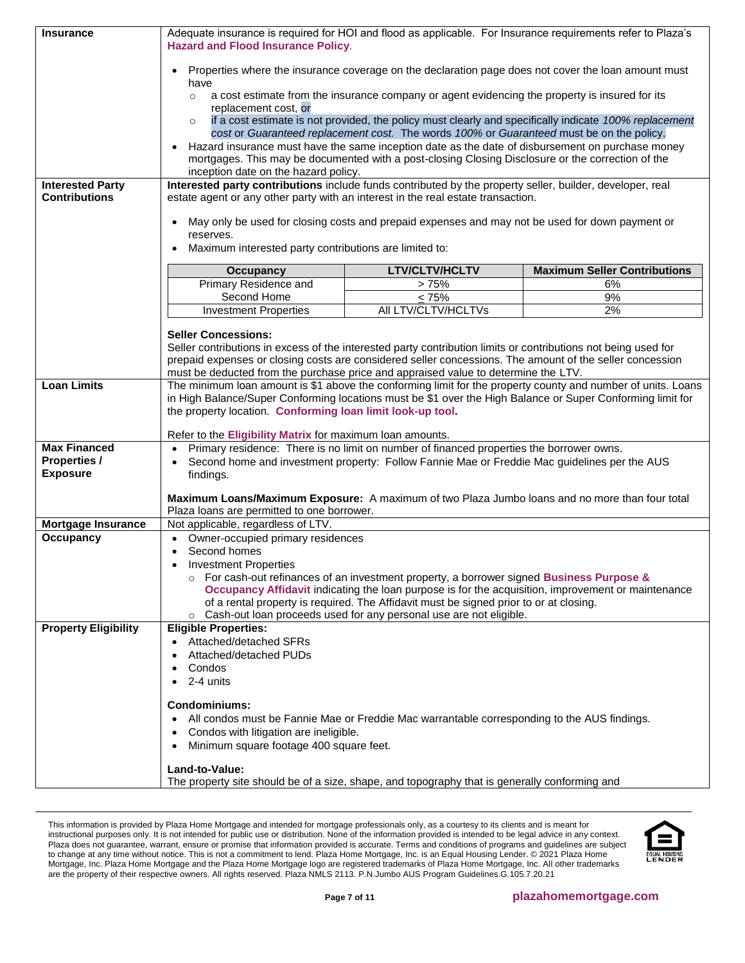| <b>Insurance</b>                                | Adequate insurance is required for HOI and flood as applicable. For Insurance requirements refer to Plaza's<br><b>Hazard and Flood Insurance Policy.</b>                                      |                                                                                                                                                                                                                            |                                                                                                              |  |
|-------------------------------------------------|-----------------------------------------------------------------------------------------------------------------------------------------------------------------------------------------------|----------------------------------------------------------------------------------------------------------------------------------------------------------------------------------------------------------------------------|--------------------------------------------------------------------------------------------------------------|--|
|                                                 | Properties where the insurance coverage on the declaration page does not cover the loan amount must<br>have                                                                                   |                                                                                                                                                                                                                            |                                                                                                              |  |
|                                                 | a cost estimate from the insurance company or agent evidencing the property is insured for its<br>$\circ$<br>replacement cost, or                                                             |                                                                                                                                                                                                                            |                                                                                                              |  |
|                                                 | $\circ$                                                                                                                                                                                       | if a cost estimate is not provided, the policy must clearly and specifically indicate 100% replacement<br>cost or Guaranteed replacement cost. The words 100% or Guaranteed must be on the policy.                         |                                                                                                              |  |
|                                                 |                                                                                                                                                                                               | Hazard insurance must have the same inception date as the date of disbursement on purchase money<br>mortgages. This may be documented with a post-closing Closing Disclosure or the correction of the                      |                                                                                                              |  |
|                                                 | inception date on the hazard policy.                                                                                                                                                          |                                                                                                                                                                                                                            |                                                                                                              |  |
| <b>Interested Party</b><br><b>Contributions</b> | Interested party contributions include funds contributed by the property seller, builder, developer, real<br>estate agent or any other party with an interest in the real estate transaction. |                                                                                                                                                                                                                            |                                                                                                              |  |
|                                                 | $\bullet$<br>reserves.                                                                                                                                                                        | May only be used for closing costs and prepaid expenses and may not be used for down payment or                                                                                                                            |                                                                                                              |  |
|                                                 | Maximum interested party contributions are limited to:                                                                                                                                        |                                                                                                                                                                                                                            |                                                                                                              |  |
|                                                 | <b>Occupancy</b>                                                                                                                                                                              | <b>LTV/CLTV/HCLTV</b>                                                                                                                                                                                                      | <b>Maximum Seller Contributions</b>                                                                          |  |
|                                                 | Primary Residence and                                                                                                                                                                         | >75%                                                                                                                                                                                                                       | 6%                                                                                                           |  |
|                                                 | Second Home<br><b>Investment Properties</b>                                                                                                                                                   | $\leq 75\%$<br>All LTV/CLTV/HCLTVs                                                                                                                                                                                         | 9%<br>2%                                                                                                     |  |
|                                                 |                                                                                                                                                                                               |                                                                                                                                                                                                                            |                                                                                                              |  |
|                                                 | <b>Seller Concessions:</b>                                                                                                                                                                    |                                                                                                                                                                                                                            |                                                                                                              |  |
|                                                 |                                                                                                                                                                                               | Seller contributions in excess of the interested party contribution limits or contributions not being used for<br>prepaid expenses or closing costs are considered seller concessions. The amount of the seller concession |                                                                                                              |  |
|                                                 |                                                                                                                                                                                               | must be deducted from the purchase price and appraised value to determine the LTV.                                                                                                                                         |                                                                                                              |  |
| <b>Loan Limits</b>                              |                                                                                                                                                                                               |                                                                                                                                                                                                                            | The minimum loan amount is \$1 above the conforming limit for the property county and number of units. Loans |  |
|                                                 | the property location. Conforming loan limit look-up tool.                                                                                                                                    | in High Balance/Super Conforming locations must be \$1 over the High Balance or Super Conforming limit for                                                                                                                 |                                                                                                              |  |
|                                                 |                                                                                                                                                                                               |                                                                                                                                                                                                                            |                                                                                                              |  |
| <b>Max Financed</b>                             | Refer to the Eligibility Matrix for maximum loan amounts.<br>$\bullet$                                                                                                                        | Primary residence: There is no limit on number of financed properties the borrower owns.                                                                                                                                   |                                                                                                              |  |
| <b>Properties /</b>                             | Second home and investment property: Follow Fannie Mae or Freddie Mac guidelines per the AUS<br>$\bullet$                                                                                     |                                                                                                                                                                                                                            |                                                                                                              |  |
| <b>Exposure</b>                                 | findings.                                                                                                                                                                                     |                                                                                                                                                                                                                            |                                                                                                              |  |
|                                                 | Plaza loans are permitted to one borrower.                                                                                                                                                    | Maximum Loans/Maximum Exposure: A maximum of two Plaza Jumbo loans and no more than four total                                                                                                                             |                                                                                                              |  |
| <b>Mortgage Insurance</b>                       | Not applicable, regardless of LTV.                                                                                                                                                            |                                                                                                                                                                                                                            |                                                                                                              |  |
| Occupancy                                       | Owner-occupied primary residences<br>$\bullet$                                                                                                                                                |                                                                                                                                                                                                                            |                                                                                                              |  |
|                                                 | Second homes<br>$\bullet$<br><b>Investment Properties</b><br>$\bullet$                                                                                                                        |                                                                                                                                                                                                                            |                                                                                                              |  |
|                                                 |                                                                                                                                                                                               | $\circ$ For cash-out refinances of an investment property, a borrower signed Business Purpose &                                                                                                                            |                                                                                                              |  |
|                                                 |                                                                                                                                                                                               | Occupancy Affidavit indicating the loan purpose is for the acquisition, improvement or maintenance                                                                                                                         |                                                                                                              |  |
|                                                 | $\circ$                                                                                                                                                                                       | of a rental property is required. The Affidavit must be signed prior to or at closing.<br>Cash-out loan proceeds used for any personal use are not eligible.                                                               |                                                                                                              |  |
| <b>Property Eligibility</b>                     | <b>Eligible Properties:</b>                                                                                                                                                                   |                                                                                                                                                                                                                            |                                                                                                              |  |
|                                                 | Attached/detached SFRs                                                                                                                                                                        |                                                                                                                                                                                                                            |                                                                                                              |  |
|                                                 | Attached/detached PUDs                                                                                                                                                                        |                                                                                                                                                                                                                            |                                                                                                              |  |
|                                                 | Condos<br>$\bullet$<br>2-4 units<br>$\bullet$                                                                                                                                                 |                                                                                                                                                                                                                            |                                                                                                              |  |
|                                                 |                                                                                                                                                                                               |                                                                                                                                                                                                                            |                                                                                                              |  |
|                                                 | <b>Condominiums:</b>                                                                                                                                                                          |                                                                                                                                                                                                                            |                                                                                                              |  |
|                                                 | $\bullet$                                                                                                                                                                                     | All condos must be Fannie Mae or Freddie Mac warrantable corresponding to the AUS findings.                                                                                                                                |                                                                                                              |  |
|                                                 | Condos with litigation are ineligible.<br>$\bullet$<br>Minimum square footage 400 square feet.<br>$\bullet$                                                                                   |                                                                                                                                                                                                                            |                                                                                                              |  |
|                                                 |                                                                                                                                                                                               |                                                                                                                                                                                                                            |                                                                                                              |  |
|                                                 | Land-to-Value:                                                                                                                                                                                |                                                                                                                                                                                                                            |                                                                                                              |  |
|                                                 |                                                                                                                                                                                               | The property site should be of a size, shape, and topography that is generally conforming and                                                                                                                              |                                                                                                              |  |

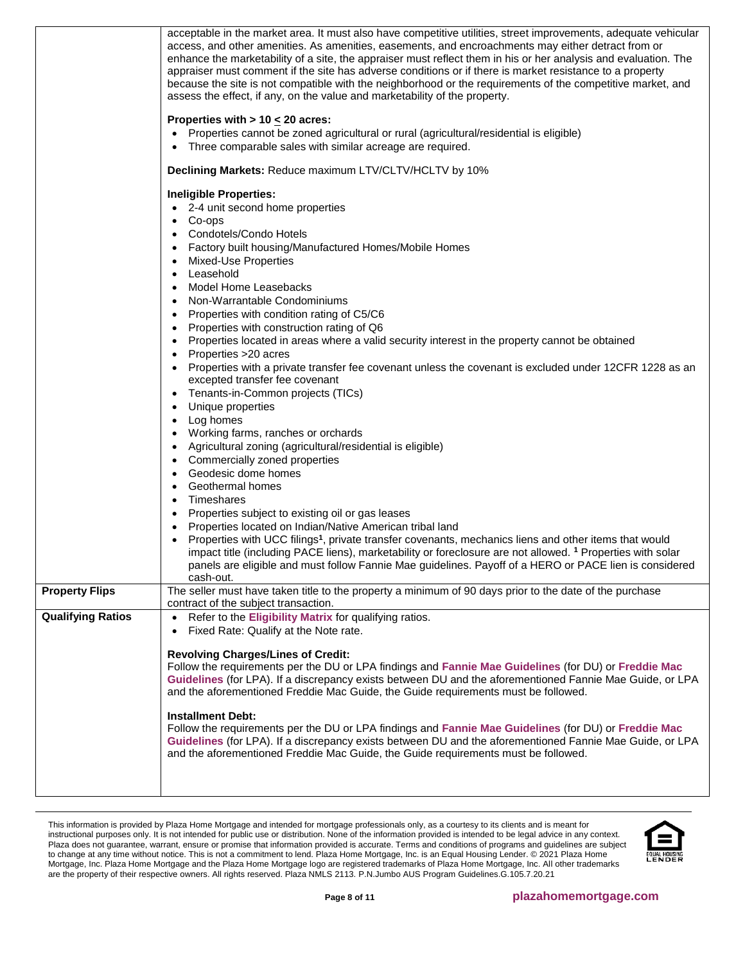|                          | acceptable in the market area. It must also have competitive utilities, street improvements, adequate vehicular<br>access, and other amenities. As amenities, easements, and encroachments may either detract from or<br>enhance the marketability of a site, the appraiser must reflect them in his or her analysis and evaluation. The<br>appraiser must comment if the site has adverse conditions or if there is market resistance to a property<br>because the site is not compatible with the neighborhood or the requirements of the competitive market, and<br>assess the effect, if any, on the value and marketability of the property.<br>Properties with > 10 $\leq$ 20 acres:<br>Properties cannot be zoned agricultural or rural (agricultural/residential is eligible)<br>Three comparable sales with similar acreage are required.<br>Declining Markets: Reduce maximum LTV/CLTV/HCLTV by 10%<br><b>Ineligible Properties:</b><br>2-4 unit second home properties<br>Co-ops<br>$\bullet$<br>Condotels/Condo Hotels<br>$\bullet$<br>Factory built housing/Manufactured Homes/Mobile Homes<br>$\bullet$<br>Mixed-Use Properties<br>$\bullet$<br>Leasehold<br>$\bullet$<br>Model Home Leasebacks<br>$\bullet$<br>Non-Warrantable Condominiums<br>$\bullet$<br>Properties with condition rating of C5/C6<br>$\bullet$<br>Properties with construction rating of Q6<br>$\bullet$<br>Properties located in areas where a valid security interest in the property cannot be obtained<br>$\bullet$<br>Properties >20 acres<br>$\bullet$<br>Properties with a private transfer fee covenant unless the covenant is excluded under 12CFR 1228 as an<br>excepted transfer fee covenant<br>Tenants-in-Common projects (TICs)<br>$\bullet$<br>Unique properties<br>$\bullet$<br>Log homes<br>$\bullet$<br>Working farms, ranches or orchards<br>$\bullet$<br>Agricultural zoning (agricultural/residential is eligible)<br>$\bullet$<br>Commercially zoned properties<br>$\bullet$<br>Geodesic dome homes<br>$\bullet$<br>Geothermal homes<br>$\bullet$<br>Timeshares<br>$\bullet$<br>Properties subject to existing oil or gas leases<br>$\bullet$<br>Properties located on Indian/Native American tribal land<br>$\bullet$<br>Properties with UCC filings <sup>1</sup> , private transfer covenants, mechanics liens and other items that would<br>impact title (including PACE liens), marketability or foreclosure are not allowed. <sup>1</sup> Properties with solar<br>panels are eligible and must follow Fannie Mae guidelines. Payoff of a HERO or PACE lien is considered |
|--------------------------|-----------------------------------------------------------------------------------------------------------------------------------------------------------------------------------------------------------------------------------------------------------------------------------------------------------------------------------------------------------------------------------------------------------------------------------------------------------------------------------------------------------------------------------------------------------------------------------------------------------------------------------------------------------------------------------------------------------------------------------------------------------------------------------------------------------------------------------------------------------------------------------------------------------------------------------------------------------------------------------------------------------------------------------------------------------------------------------------------------------------------------------------------------------------------------------------------------------------------------------------------------------------------------------------------------------------------------------------------------------------------------------------------------------------------------------------------------------------------------------------------------------------------------------------------------------------------------------------------------------------------------------------------------------------------------------------------------------------------------------------------------------------------------------------------------------------------------------------------------------------------------------------------------------------------------------------------------------------------------------------------------------------------------------------------------------------------------------------------------------------------------------------------------------------------------------------------------------------------------------------------------------------------------------------------------------------------------------------------------------------------------------------------------------------------------------------------------------------------------------------------------------------------------------------------------------------------------------------|
| <b>Property Flips</b>    | cash-out.<br>The seller must have taken title to the property a minimum of 90 days prior to the date of the purchase                                                                                                                                                                                                                                                                                                                                                                                                                                                                                                                                                                                                                                                                                                                                                                                                                                                                                                                                                                                                                                                                                                                                                                                                                                                                                                                                                                                                                                                                                                                                                                                                                                                                                                                                                                                                                                                                                                                                                                                                                                                                                                                                                                                                                                                                                                                                                                                                                                                                    |
| <b>Qualifying Ratios</b> | contract of the subject transaction.<br>Refer to the Eligibility Matrix for qualifying ratios.<br>$\bullet$                                                                                                                                                                                                                                                                                                                                                                                                                                                                                                                                                                                                                                                                                                                                                                                                                                                                                                                                                                                                                                                                                                                                                                                                                                                                                                                                                                                                                                                                                                                                                                                                                                                                                                                                                                                                                                                                                                                                                                                                                                                                                                                                                                                                                                                                                                                                                                                                                                                                             |
|                          | Fixed Rate: Qualify at the Note rate.<br>$\bullet$                                                                                                                                                                                                                                                                                                                                                                                                                                                                                                                                                                                                                                                                                                                                                                                                                                                                                                                                                                                                                                                                                                                                                                                                                                                                                                                                                                                                                                                                                                                                                                                                                                                                                                                                                                                                                                                                                                                                                                                                                                                                                                                                                                                                                                                                                                                                                                                                                                                                                                                                      |
|                          | <b>Revolving Charges/Lines of Credit:</b><br>Follow the requirements per the DU or LPA findings and Fannie Mae Guidelines (for DU) or Freddie Mac<br>Guidelines (for LPA). If a discrepancy exists between DU and the aforementioned Fannie Mae Guide, or LPA<br>and the aforementioned Freddie Mac Guide, the Guide requirements must be followed.<br><b>Installment Debt:</b><br>Follow the requirements per the DU or LPA findings and Fannie Mae Guidelines (for DU) or Freddie Mac<br>Guidelines (for LPA). If a discrepancy exists between DU and the aforementioned Fannie Mae Guide, or LPA<br>and the aforementioned Freddie Mac Guide, the Guide requirements must be followed.                                                                                                                                                                                                                                                                                                                                                                                                                                                                                                                                                                                                                                                                                                                                                                                                                                                                                                                                                                                                                                                                                                                                                                                                                                                                                                                                                                                                                                                                                                                                                                                                                                                                                                                                                                                                                                                                                               |

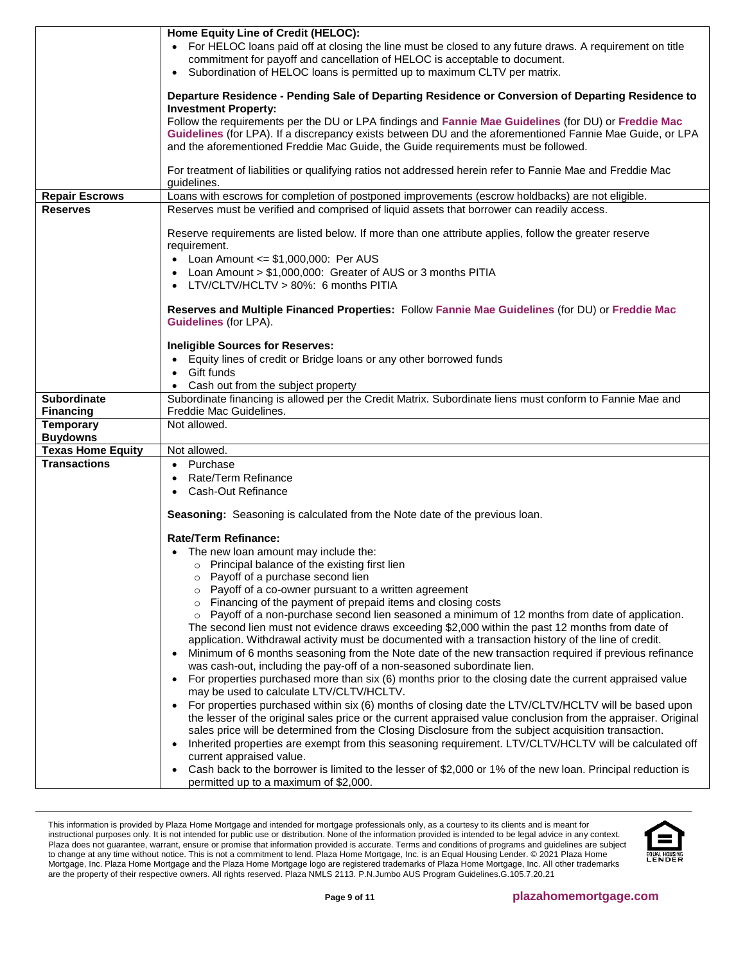|                                     | Home Equity Line of Credit (HELOC):<br>For HELOC loans paid off at closing the line must be closed to any future draws. A requirement on title<br>commitment for payoff and cancellation of HELOC is acceptable to document.<br>Subordination of HELOC loans is permitted up to maximum CLTV per matrix.                              |
|-------------------------------------|---------------------------------------------------------------------------------------------------------------------------------------------------------------------------------------------------------------------------------------------------------------------------------------------------------------------------------------|
|                                     | Departure Residence - Pending Sale of Departing Residence or Conversion of Departing Residence to                                                                                                                                                                                                                                     |
|                                     | <b>Investment Property:</b><br>Follow the requirements per the DU or LPA findings and Fannie Mae Guidelines (for DU) or Freddie Mac<br>Guidelines (for LPA). If a discrepancy exists between DU and the aforementioned Fannie Mae Guide, or LPA<br>and the aforementioned Freddie Mac Guide, the Guide requirements must be followed. |
|                                     | For treatment of liabilities or qualifying ratios not addressed herein refer to Fannie Mae and Freddie Mac<br>quidelines.                                                                                                                                                                                                             |
| <b>Repair Escrows</b>               | Loans with escrows for completion of postponed improvements (escrow holdbacks) are not eligible.                                                                                                                                                                                                                                      |
| <b>Reserves</b>                     | Reserves must be verified and comprised of liquid assets that borrower can readily access.                                                                                                                                                                                                                                            |
|                                     | Reserve requirements are listed below. If more than one attribute applies, follow the greater reserve<br>requirement.                                                                                                                                                                                                                 |
|                                     | Loan Amount $\leq$ \$1,000,000: Per AUS                                                                                                                                                                                                                                                                                               |
|                                     | Loan Amount > \$1,000,000: Greater of AUS or 3 months PITIA<br>$\bullet$                                                                                                                                                                                                                                                              |
|                                     | LTV/CLTV/HCLTV > 80%: 6 months PITIA                                                                                                                                                                                                                                                                                                  |
|                                     | Reserves and Multiple Financed Properties: Follow Fannie Mae Guidelines (for DU) or Freddie Mac<br><b>Guidelines (for LPA).</b>                                                                                                                                                                                                       |
|                                     | <b>Ineligible Sources for Reserves:</b>                                                                                                                                                                                                                                                                                               |
|                                     | • Equity lines of credit or Bridge loans or any other borrowed funds                                                                                                                                                                                                                                                                  |
|                                     | Gift funds                                                                                                                                                                                                                                                                                                                            |
|                                     | Cash out from the subject property                                                                                                                                                                                                                                                                                                    |
| <b>Subordinate</b>                  | Subordinate financing is allowed per the Credit Matrix. Subordinate liens must conform to Fannie Mae and                                                                                                                                                                                                                              |
| <b>Financing</b>                    | Freddie Mac Guidelines.                                                                                                                                                                                                                                                                                                               |
| <b>Temporary</b><br><b>Buydowns</b> | Not allowed.                                                                                                                                                                                                                                                                                                                          |
| <b>Texas Home Equity</b>            | Not allowed.                                                                                                                                                                                                                                                                                                                          |
| <b>Transactions</b>                 | • Purchase                                                                                                                                                                                                                                                                                                                            |
|                                     | Rate/Term Refinance<br>$\bullet$                                                                                                                                                                                                                                                                                                      |
|                                     | Cash-Out Refinance<br>$\bullet$                                                                                                                                                                                                                                                                                                       |
|                                     | Seasoning: Seasoning is calculated from the Note date of the previous loan.                                                                                                                                                                                                                                                           |
|                                     | <b>Rate/Term Refinance:</b>                                                                                                                                                                                                                                                                                                           |
|                                     | • The new loan amount may include the:                                                                                                                                                                                                                                                                                                |
|                                     | o Principal balance of the existing first lien                                                                                                                                                                                                                                                                                        |
|                                     | o Payoff of a purchase second lien                                                                                                                                                                                                                                                                                                    |
|                                     | o Payoff of a co-owner pursuant to a written agreement                                                                                                                                                                                                                                                                                |
|                                     | Financing of the payment of prepaid items and closing costs<br>$\circ$<br>Payoff of a non-purchase second lien seasoned a minimum of 12 months from date of application.<br>$\circ$                                                                                                                                                   |
|                                     | The second lien must not evidence draws exceeding \$2,000 within the past 12 months from date of                                                                                                                                                                                                                                      |
|                                     | application. Withdrawal activity must be documented with a transaction history of the line of credit.                                                                                                                                                                                                                                 |
|                                     | Minimum of 6 months seasoning from the Note date of the new transaction required if previous refinance                                                                                                                                                                                                                                |
|                                     | was cash-out, including the pay-off of a non-seasoned subordinate lien.                                                                                                                                                                                                                                                               |
|                                     | For properties purchased more than six (6) months prior to the closing date the current appraised value<br>$\bullet$                                                                                                                                                                                                                  |
|                                     | may be used to calculate LTV/CLTV/HCLTV.                                                                                                                                                                                                                                                                                              |
|                                     | For properties purchased within six (6) months of closing date the LTV/CLTV/HCLTV will be based upon                                                                                                                                                                                                                                  |
|                                     | the lesser of the original sales price or the current appraised value conclusion from the appraiser. Original<br>sales price will be determined from the Closing Disclosure from the subject acquisition transaction.                                                                                                                 |
|                                     | Inherited properties are exempt from this seasoning requirement. LTV/CLTV/HCLTV will be calculated off                                                                                                                                                                                                                                |
|                                     | current appraised value.                                                                                                                                                                                                                                                                                                              |
|                                     | Cash back to the borrower is limited to the lesser of \$2,000 or 1% of the new loan. Principal reduction is                                                                                                                                                                                                                           |
|                                     | permitted up to a maximum of \$2,000.                                                                                                                                                                                                                                                                                                 |
|                                     |                                                                                                                                                                                                                                                                                                                                       |

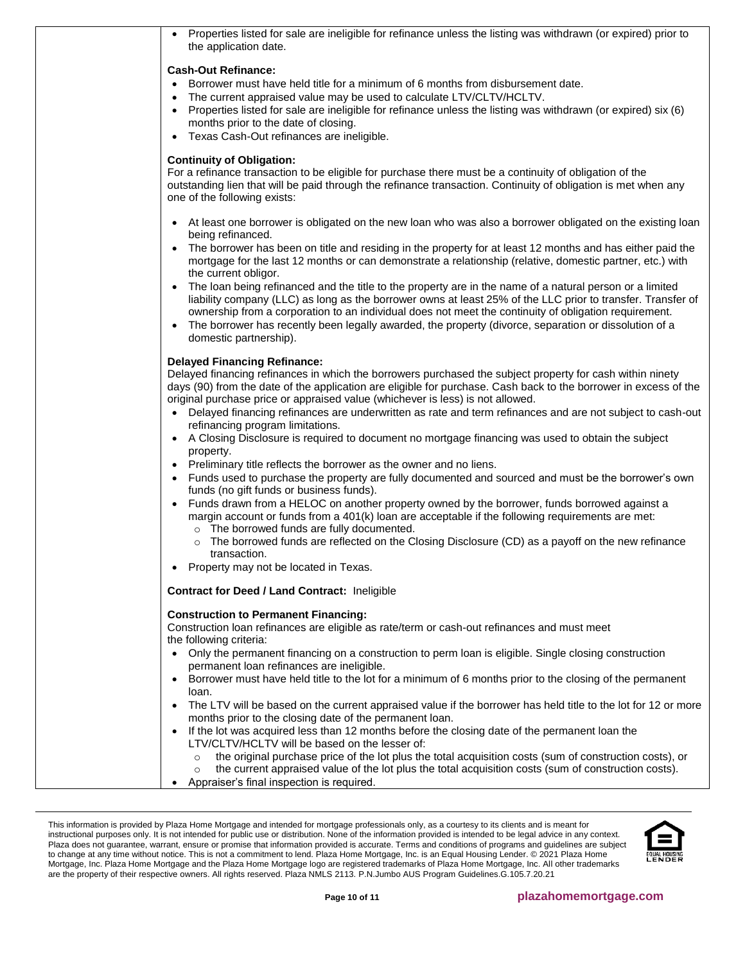| Properties listed for sale are ineligible for refinance unless the listing was withdrawn (or expired) prior to<br>the application date.                                                                                                                                                                                                                                                                                                                                                                                                                                                                                                                                                                                                                                                                                                                                                                                                                                                                                                                                                                                                                                                                                                                                                                                 |  |
|-------------------------------------------------------------------------------------------------------------------------------------------------------------------------------------------------------------------------------------------------------------------------------------------------------------------------------------------------------------------------------------------------------------------------------------------------------------------------------------------------------------------------------------------------------------------------------------------------------------------------------------------------------------------------------------------------------------------------------------------------------------------------------------------------------------------------------------------------------------------------------------------------------------------------------------------------------------------------------------------------------------------------------------------------------------------------------------------------------------------------------------------------------------------------------------------------------------------------------------------------------------------------------------------------------------------------|--|
| <b>Cash-Out Refinance:</b><br>Borrower must have held title for a minimum of 6 months from disbursement date.<br>$\bullet$<br>The current appraised value may be used to calculate LTV/CLTV/HCLTV.<br>$\bullet$<br>Properties listed for sale are ineligible for refinance unless the listing was withdrawn (or expired) six (6)<br>$\bullet$<br>months prior to the date of closing.<br>Texas Cash-Out refinances are ineligible.<br>$\bullet$                                                                                                                                                                                                                                                                                                                                                                                                                                                                                                                                                                                                                                                                                                                                                                                                                                                                         |  |
| <b>Continuity of Obligation:</b><br>For a refinance transaction to be eligible for purchase there must be a continuity of obligation of the<br>outstanding lien that will be paid through the refinance transaction. Continuity of obligation is met when any<br>one of the following exists:                                                                                                                                                                                                                                                                                                                                                                                                                                                                                                                                                                                                                                                                                                                                                                                                                                                                                                                                                                                                                           |  |
| • At least one borrower is obligated on the new loan who was also a borrower obligated on the existing loan<br>being refinanced.<br>The borrower has been on title and residing in the property for at least 12 months and has either paid the<br>$\bullet$<br>mortgage for the last 12 months or can demonstrate a relationship (relative, domestic partner, etc.) with<br>the current obligor.<br>The loan being refinanced and the title to the property are in the name of a natural person or a limited<br>$\bullet$<br>liability company (LLC) as long as the borrower owns at least 25% of the LLC prior to transfer. Transfer of<br>ownership from a corporation to an individual does not meet the continuity of obligation requirement.<br>The borrower has recently been legally awarded, the property (divorce, separation or dissolution of a<br>$\bullet$<br>domestic partnership).                                                                                                                                                                                                                                                                                                                                                                                                                       |  |
| <b>Delayed Financing Refinance:</b><br>Delayed financing refinances in which the borrowers purchased the subject property for cash within ninety<br>days (90) from the date of the application are eligible for purchase. Cash back to the borrower in excess of the<br>original purchase price or appraised value (whichever is less) is not allowed.<br>• Delayed financing refinances are underwritten as rate and term refinances and are not subject to cash-out<br>refinancing program limitations.<br>• A Closing Disclosure is required to document no mortgage financing was used to obtain the subject<br>property.<br>Preliminary title reflects the borrower as the owner and no liens.<br>$\bullet$<br>Funds used to purchase the property are fully documented and sourced and must be the borrower's own<br>funds (no gift funds or business funds).<br>Funds drawn from a HELOC on another property owned by the borrower, funds borrowed against a<br>$\bullet$<br>margin account or funds from a 401(k) loan are acceptable if the following requirements are met:<br>o The borrowed funds are fully documented.<br>The borrowed funds are reflected on the Closing Disclosure (CD) as a payoff on the new refinance<br>$\circ$<br>transaction.<br>Property may not be located in Texas.<br>$\bullet$ |  |
| Contract for Deed / Land Contract: Ineligible                                                                                                                                                                                                                                                                                                                                                                                                                                                                                                                                                                                                                                                                                                                                                                                                                                                                                                                                                                                                                                                                                                                                                                                                                                                                           |  |
| <b>Construction to Permanent Financing:</b><br>Construction loan refinances are eligible as rate/term or cash-out refinances and must meet<br>the following criteria:<br>Only the permanent financing on a construction to perm loan is eligible. Single closing construction<br>$\bullet$<br>permanent loan refinances are ineligible.<br>• Borrower must have held title to the lot for a minimum of 6 months prior to the closing of the permanent<br>loan.<br>The LTV will be based on the current appraised value if the borrower has held title to the lot for 12 or more<br>$\bullet$<br>months prior to the closing date of the permanent loan.<br>If the lot was acquired less than 12 months before the closing date of the permanent loan the<br>$\bullet$<br>LTV/CLTV/HCLTV will be based on the lesser of:<br>the original purchase price of the lot plus the total acquisition costs (sum of construction costs), or<br>$\circ$                                                                                                                                                                                                                                                                                                                                                                           |  |
| the current appraised value of the lot plus the total acquisition costs (sum of construction costs).<br>$\circ$<br>Appraiser's final inspection is required.<br>$\bullet$                                                                                                                                                                                                                                                                                                                                                                                                                                                                                                                                                                                                                                                                                                                                                                                                                                                                                                                                                                                                                                                                                                                                               |  |